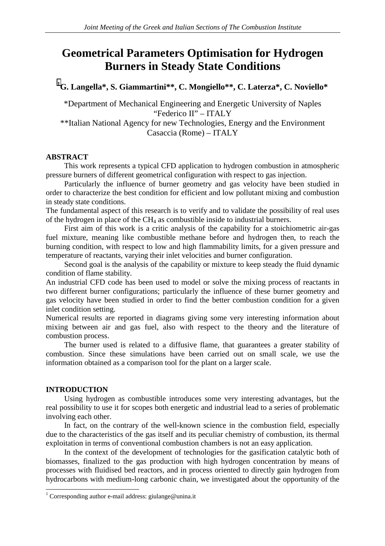# **Geometrical Parameters Optimisation for Hydrogen Burners in Steady State Conditions**

**1 G. Langella\*, S. Giammartini\*\*, C. Mongiello\*\*, C. Laterza\*, C. Noviello\*** 

\*Department of Mechanical Engineering and Energetic University of Naples "Federico II" – ITALY \*\*Italian National Agency for new Technologies, Energy and the Environment Casaccia (Rome) – ITALY

## **ABSTRACT**

This work represents a typical CFD application to hydrogen combustion in atmospheric pressure burners of different geometrical configuration with respect to gas injection.

Particularly the influence of burner geometry and gas velocity have been studied in order to characterize the best condition for efficient and low pollutant mixing and combustion in steady state conditions.

The fundamental aspect of this research is to verify and to validate the possibility of real uses of the hydrogen in place of the CH4 as combustible inside to industrial burners.

First aim of this work is a critic analysis of the capability for a stoichiometric air-gas fuel mixture, meaning like combustible methane before and hydrogen then, to reach the burning condition, with respect to low and high flammability limits, for a given pressure and temperature of reactants, varying their inlet velocities and burner configuration.

Second goal is the analysis of the capability or mixture to keep steady the fluid dynamic condition of flame stability.

An industrial CFD code has been used to model or solve the mixing process of reactants in two different burner configurations; particularly the influence of these burner geometry and gas velocity have been studied in order to find the better combustion condition for a given inlet condition setting.

Numerical results are reported in diagrams giving some very interesting information about mixing between air and gas fuel, also with respect to the theory and the literature of combustion process.

The burner used is related to a diffusive flame, that guarantees a greater stability of combustion. Since these simulations have been carried out on small scale, we use the information obtained as a comparison tool for the plant on a larger scale.

### **INTRODUCTION**

Using hydrogen as combustible introduces some very interesting advantages, but the real possibility to use it for scopes both energetic and industrial lead to a series of problematic involving each other.

In fact, on the contrary of the well-known science in the combustion field, especially due to the characteristics of the gas itself and its peculiar chemistry of combustion, its thermal exploitation in terms of conventional combustion chambers is not an easy application.

In the context of the development of technologies for the gasification catalytic both of biomasses, finalized to the gas production with high hydrogen concentration by means of processes with fluidised bed reactors, and in process oriented to directly gain hydrogen from hydrocarbons with medium-long carbonic chain, we investigated about the opportunity of the

 1 Corresponding author e-mail address: giulange@unina.it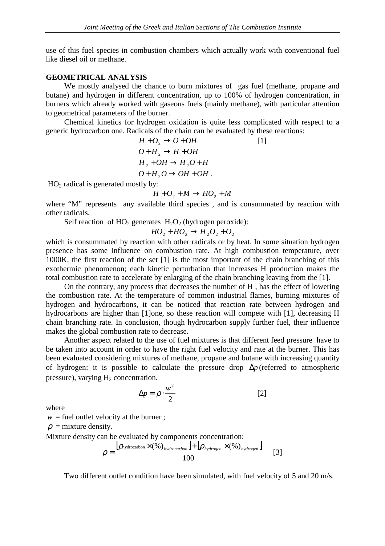use of this fuel species in combustion chambers which actually work with conventional fuel like diesel oil or methane.

### **GEOMETRICAL ANALYSIS**

We mostly analysed the chance to burn mixtures of gas fuel (methane, propane and butane) and hydrogen in different concentration, up to 100% of hydrogen concentration, in burners which already worked with gaseous fuels (mainly methane), with particular attention to geometrical parameters of the burner.

Chemical kinetics for hydrogen oxidation is quite less complicated with respect to a generic hydrocarbon one. Radicals of the chain can be evaluated by these reactions:

$$
H + O2 \rightarrow O + OH
$$
 [1]  
\n
$$
O + H2 \rightarrow H + OH
$$
  
\n
$$
H2 + OH \rightarrow H2O + H
$$
  
\n
$$
O + H2O \rightarrow OH + OH.
$$

 $HO<sub>2</sub>$  radical is generated mostly by:

$$
H + O_2 + M \rightarrow HO_2 + M
$$

where "M" represents any available third species, and is consummated by reaction with other radicals.

Self reaction of  $HO_2$  generates  $H_2O_2$  (hydrogen peroxide):

$$
HO_2 + HO_2 \rightarrow H_2O_2 + O_2
$$

which is consummated by reaction with other radicals or by heat. In some situation hydrogen presence has some influence on combustion rate. At high combustion temperature, over 1000K, the first reaction of the set [1] is the most important of the chain branching of this exothermic phenomenon; each kinetic perturbation that increases H production makes the total combustion rate to accelerate by enlarging of the chain branching leaving from the [1].

On the contrary, any process that decreases the number of H , has the effect of lowering the combustion rate. At the temperature of common industrial flames, burning mixtures of hydrogen and hydrocarbons, it can be noticed that reaction rate between hydrogen and hydrocarbons are higher than [1]one, so these reaction will compete with [1], decreasing H chain branching rate. In conclusion, though hydrocarbon supply further fuel, their influence makes the global combustion rate to decrease.

Another aspect related to the use of fuel mixtures is that different feed pressure have to be taken into account in order to have the right fuel velocity and rate at the burner. This has been evaluated considering mixtures of methane, propane and butane with increasing quantity of hydrogen: it is possible to calculate the pressure drop ∆*p* (referred to atmospheric pressure), varying  $H_2$  concentration.

$$
\Delta p = \rho \cdot \frac{w^2}{2} \tag{2}
$$

where

 $w =$  fuel outlet velocity at the burner;

 $\rho$  = mixture density.

Mixture density can be evaluated by components concentration:

$$
\rho = \frac{\left[\rho_{\text{hydrocarbon}} \times (\%)\right]_{\text{hydrocarbon}} + \left[\rho_{\text{hydrogen}} \times (\%)\right]_{\text{hydrogen}}}{100} \tag{3}
$$

Two different outlet condition have been simulated, with fuel velocity of 5 and 20 m/s.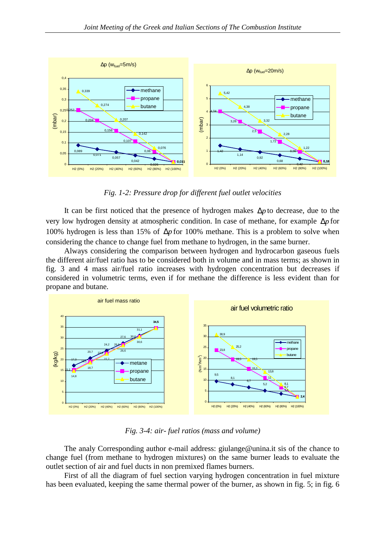

*Fig. 1-2: Pressure drop for different fuel outlet velocities* 

It can be first noticed that the presence of hydrogen makes ∆*p* to decrease, due to the very low hydrogen density at atmospheric condition. In case of methane, for example ∆*p* for 100% hydrogen is less than 15% of ∆*p* for 100% methane. This is a problem to solve when considering the chance to change fuel from methane to hydrogen, in the same burner.

Always considering the comparison between hydrogen and hydrocarbon gaseous fuels the different air/fuel ratio has to be considered both in volume and in mass terms; as shown in fig. 3 and 4 mass air/fuel ratio increases with hydrogen concentration but decreases if considered in volumetric terms, even if for methane the difference is less evident than for propane and butane.



*Fig. 3-4: air- fuel ratios (mass and volume)* 

The analy Corresponding author e-mail address: giulange@unina.it sis of the chance to change fuel (from methane to hydrogen mixtures) on the same burner leads to evaluate the outlet section of air and fuel ducts in non premixed flames burners.

First of all the diagram of fuel section varying hydrogen concentration in fuel mixture has been evaluated, keeping the same thermal power of the burner, as shown in fig. 5; in fig. 6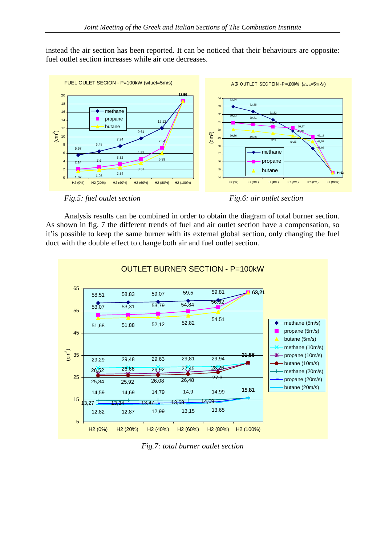instead the air section has been reported. It can be noticed that their behaviours are opposite: fuel outlet section increases while air one decreases.



*Fig.5: fuel outlet section* Fig.6: air outlet section



Analysis results can be combined in order to obtain the diagram of total burner section. As shown in fig. 7 the different trends of fuel and air outlet section have a compensation, so it'is possible to keep the same burner with its external global section, only changing the fuel duct with the double effect to change both air and fuel outlet section.



*Fig.7: total burner outlet section*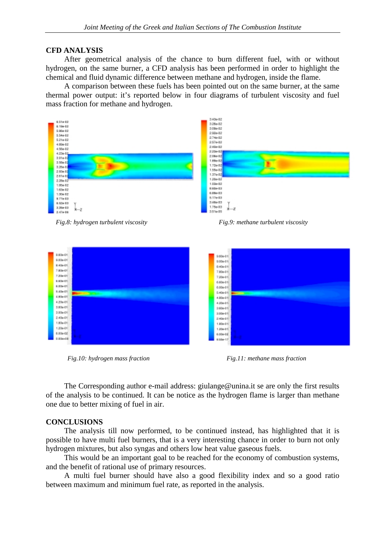#### **CFD ANALYSIS**

After geometrical analysis of the chance to burn different fuel, with or without hydrogen, on the same burner, a CFD analysis has been performed in order to highlight the chemical and fluid dynamic difference between methane and hydrogen, inside the flame.

A comparison between these fuels has been pointed out on the same burner, at the same thermal power output: it's reported below in four diagrams of turbulent viscosity and fuel mass fraction for methane and hydrogen.



*Fig.8: hydrogen turbulent viscosity Fig.9: methane turbulent viscosity*



*Fig.10: hydrogen mass fraction Fig.11: methane mass fraction* 

The Corresponding author e-mail address: giulange@unina.it se are only the first results of the analysis to be continued. It can be notice as the hydrogen flame is larger than methane one due to better mixing of fuel in air.

### **CONCLUSIONS**

The analysis till now performed, to be continued instead, has highlighted that it is possible to have multi fuel burners, that is a very interesting chance in order to burn not only hydrogen mixtures, but also syngas and others low heat value gaseous fuels.

This would be an important goal to be reached for the economy of combustion systems, and the benefit of rational use of primary resources.

A multi fuel burner should have also a good flexibility index and so a good ratio between maximum and minimum fuel rate, as reported in the analysis.